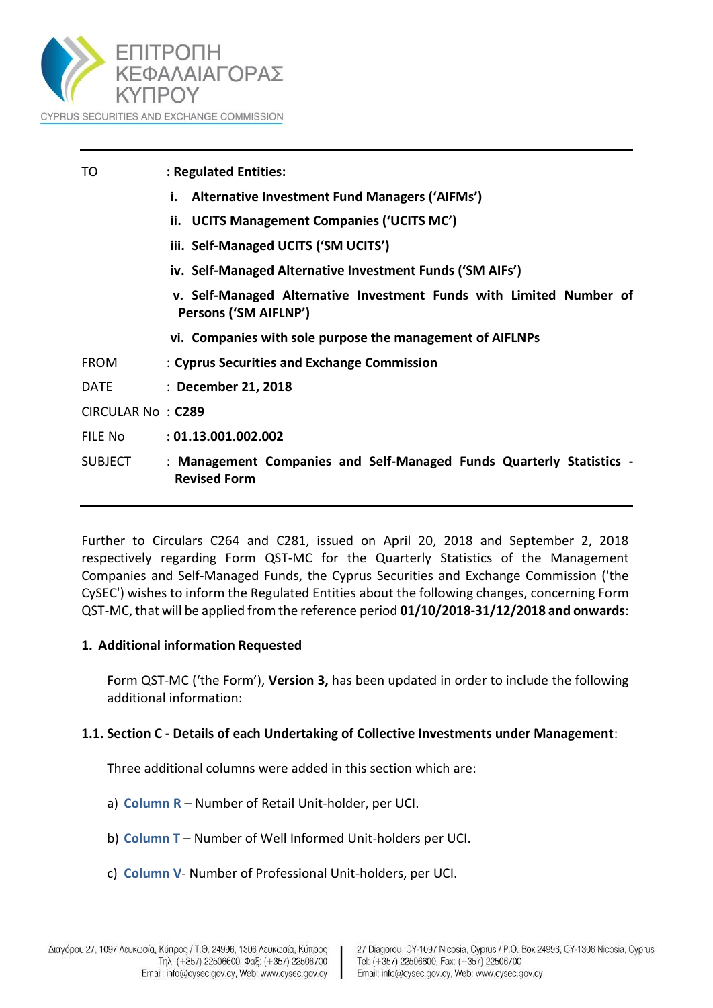

| TO                | : Regulated Entities:                                                                        |
|-------------------|----------------------------------------------------------------------------------------------|
|                   | <b>Alternative Investment Fund Managers ('AIFMs')</b><br>i.                                  |
|                   | ii. UCITS Management Companies ('UCITS MC')                                                  |
|                   | iii. Self-Managed UCITS ('SM UCITS')                                                         |
|                   | iv. Self-Managed Alternative Investment Funds ('SM AIFs')                                    |
|                   | v. Self-Managed Alternative Investment Funds with Limited Number of<br>Persons ('SM AIFLNP') |
|                   | vi. Companies with sole purpose the management of AIFLNPs                                    |
| <b>FROM</b>       | : Cyprus Securities and Exchange Commission                                                  |
| <b>DATE</b>       | : December 21, 2018                                                                          |
| CIRCULAR No: C289 |                                                                                              |
| FILE No           | : 01.13.001.002.002                                                                          |
| <b>SUBJECT</b>    | : Management Companies and Self-Managed Funds Quarterly Statistics -<br><b>Revised Form</b>  |
|                   |                                                                                              |

Further to Circulars C264 and C281, issued on April 20, 2018 and September 2, 2018 respectively regarding Form QST-MC for the Quarterly Statistics of the Management Companies and Self-Managed Funds, the Cyprus Securities and Exchange Commission ('the CySEC') wishes to inform the Regulated Entities about the following changes, concerning Form QST-MC, that will be applied from the reference period **01/10/2018-31/12/2018 and onwards**:

### **1. Additional information Requested**

Form QST-MC ('the Form'), **Version 3,** has been updated in order to include the following additional information:

### **1.1. Section C - Details of each Undertaking of Collective Investments under Management**:

Three additional columns were added in this section which are:

- a) **Column R** Number of Retail Unit-holder, per UCI.
- b) **Column T** Number of Well Informed Unit-holders per UCI.
- c) **Column V** Number of Professional Unit-holders, per UCI.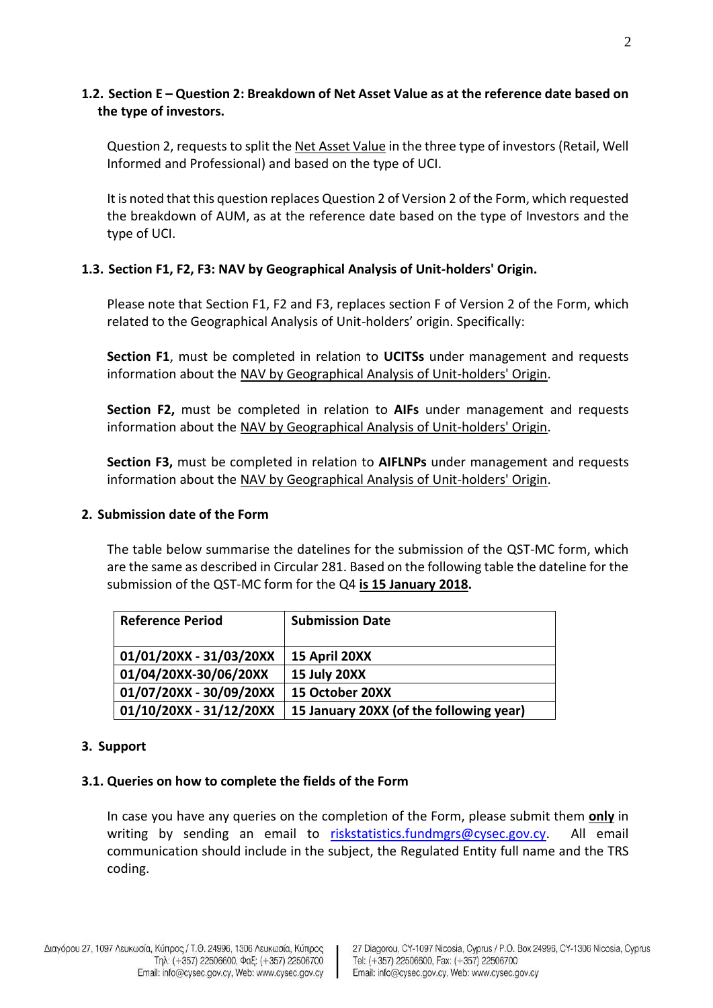# **1.2. Section E – Question 2: Breakdown of Net Asset Value as at the reference date based on the type of investors.**

Question 2, requeststo split the Net Asset Value in the three type of investors (Retail, Well Informed and Professional) and based on the type of UCI.

It is noted that this question replaces Question 2 of Version 2 of the Form, which requested the breakdown of AUM, as at the reference date based on the type of Investors and the type of UCI.

# **1.3. Section F1, F2, F3: NAV by Geographical Analysis of Unit-holders' Origin.**

Please note that Section F1, F2 and F3, replaces section F of Version 2 of the Form, which related to the Geographical Analysis of Unit-holders' origin. Specifically:

**Section F1**, must be completed in relation to **UCITSs** under management and requests information about the NAV by Geographical Analysis of Unit-holders' Origin.

**Section F2,** must be completed in relation to **AIFs** under management and requests information about the NAV by Geographical Analysis of Unit-holders' Origin.

**Section F3,** must be completed in relation to **AIFLNPs** under management and requests information about the NAV by Geographical Analysis of Unit-holders' Origin.

### **2. Submission date of the Form**

The table below summarise the datelines for the submission of the QST-MC form, which are the same as described in Circular 281. Based on the following table the dateline for the submission of the QST-MC form for the Q4 **is 15 January 2018.**

| <b>Reference Period</b> | <b>Submission Date</b>                  |
|-------------------------|-----------------------------------------|
| 01/01/20XX - 31/03/20XX | 15 April 20XX                           |
| 01/04/20XX-30/06/20XX   | 15 July 20XX                            |
| 01/07/20XX - 30/09/20XX | 15 October 20XX                         |
| 01/10/20XX - 31/12/20XX | 15 January 20XX (of the following year) |

### **3. Support**

### **3.1. Queries on how to complete the fields of the Form**

In case you have any queries on the completion of the Form, please submit them **only** in writing by sending an email to [riskstatistics.fundmgrs@cysec.gov.cy.](mailto:riskstatistics.fundmgrs@cysec.gov.cy) All email communication should include in the subject, the Regulated Entity full name and the TRS coding.